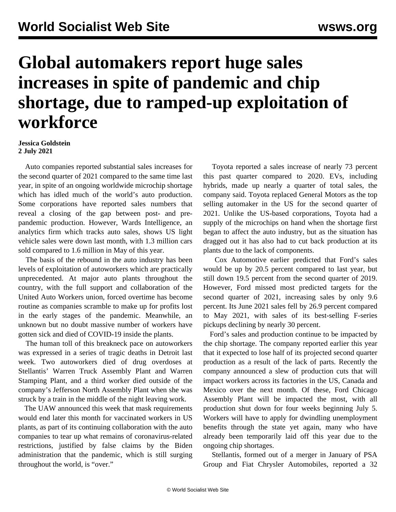## **Global automakers report huge sales increases in spite of pandemic and chip shortage, due to ramped-up exploitation of workforce**

## **Jessica Goldstein 2 July 2021**

 Auto companies reported substantial sales increases for the second quarter of 2021 compared to the same time last year, in spite of an ongoing worldwide microchip shortage which has idled much of the world's auto production. Some corporations have reported sales numbers that reveal a closing of the gap between post- and prepandemic production. However, Wards Intelligence, an analytics firm which tracks auto sales, shows US light vehicle sales were down last month, with 1.3 million cars sold compared to 1.6 million in May of this year.

 The basis of the rebound in the auto industry has been levels of exploitation of autoworkers which are practically unprecedented. At major auto plants throughout the country, with the full support and collaboration of the United Auto Workers union, forced overtime has become routine as companies scramble to make up for profits lost in the early stages of the pandemic. Meanwhile, an unknown but no doubt massive number of workers have gotten sick and died of COVID-19 inside the plants.

 The human toll of this breakneck pace on autoworkers was expressed in a series of tragic deaths in Detroit last week. Two autoworkers died of drug overdoses at Stellantis' Warren Truck Assembly Plant and Warren Stamping Plant, and a third worker died outside of the company's Jefferson North Assembly Plant when she was struck by a train in the middle of the night leaving work.

 The UAW announced this week that [mask requirements](/en/articles/2021/06/30/auto-j30.html) would end later this month for vaccinated workers in US plants, as part of its continuing collaboration with the auto companies to tear up what remains of coronavirus-related restrictions, justified by false claims by the Biden administration that the pandemic, which is still surging throughout the world, is "over."

 Toyota reported a sales increase of nearly 73 percent this past quarter compared to 2020. EVs, including hybrids, made up nearly a quarter of total sales, the company said. Toyota replaced General Motors as the top selling automaker in the US for the second quarter of 2021. Unlike the US-based corporations, Toyota had a supply of the microchips on hand when the shortage first began to affect the auto industry, but as the situation has dragged out it has also had to cut back production at its plants due to the lack of components.

 Cox Automotive earlier predicted that Ford's sales would be up by 20.5 percent compared to last year, but still down 19.5 percent from the second quarter of 2019. However, Ford missed most predicted targets for the second quarter of 2021, increasing sales by only 9.6 percent. Its June 2021 sales fell by 26.9 percent compared to May 2021, with sales of its best-selling F-series pickups declining by nearly 30 percent.

 Ford's sales and production continue to be impacted by the chip shortage. The company reported earlier this year that it expected to lose half of its projected second quarter production as a result of the lack of parts. Recently the company announced a slew of production cuts that will impact workers across its factories in the US, Canada and Mexico over the next month. Of these, Ford Chicago Assembly Plant will be impacted the most, with all production shut down for four weeks beginning July 5. Workers will have to apply for dwindling unemployment benefits through the state yet again, many who have already been temporarily laid off this year due to the ongoing chip shortages.

 Stellantis, formed out of a merger in January of PSA Group and Fiat Chrysler Automobiles, reported a 32